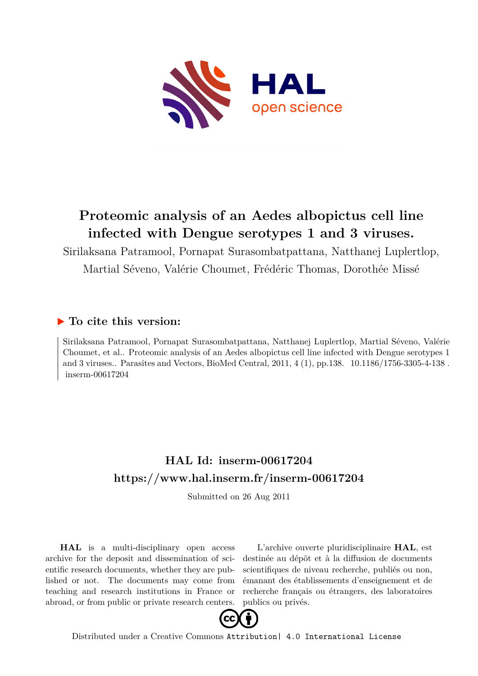

# **Proteomic analysis of an Aedes albopictus cell line infected with Dengue serotypes 1 and 3 viruses.**

Sirilaksana Patramool, Pornapat Surasombatpattana, Natthanej Luplertlop, Martial Séveno, Valérie Choumet, Frédéric Thomas, Dorothée Missé

## **To cite this version:**

Sirilaksana Patramool, Pornapat Surasombatpattana, Natthanej Luplertlop, Martial Séveno, Valérie Choumet, et al.. Proteomic analysis of an Aedes albopictus cell line infected with Dengue serotypes 1 and 3 viruses.. Parasites and Vectors, BioMed Central,  $2011, 4(1)$ , pp.138.  $10.1186/1756-3305-4-138$ .  $inserm-00617204$ 

# **HAL Id: inserm-00617204 <https://www.hal.inserm.fr/inserm-00617204>**

Submitted on 26 Aug 2011

**HAL** is a multi-disciplinary open access archive for the deposit and dissemination of scientific research documents, whether they are published or not. The documents may come from teaching and research institutions in France or abroad, or from public or private research centers.

L'archive ouverte pluridisciplinaire **HAL**, est destinée au dépôt et à la diffusion de documents scientifiques de niveau recherche, publiés ou non, émanant des établissements d'enseignement et de recherche français ou étrangers, des laboratoires publics ou privés.



Distributed under a Creative Commons [Attribution| 4.0 International License](http://creativecommons.org/licenses/by/4.0/)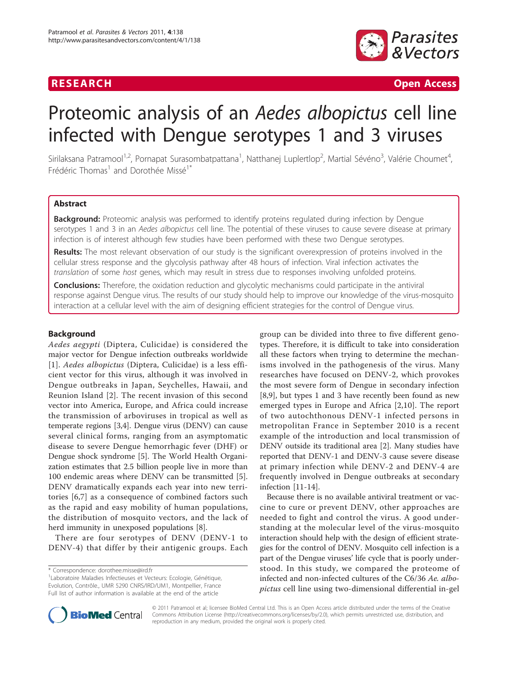

**RESEARCH Open Access** 

# Proteomic analysis of an Aedes albopictus cell line infected with Dengue serotypes 1 and 3 viruses

Sirilaksana Patramool<sup>1,2</sup>, Pornapat Surasombatpattana<sup>1</sup>, Natthanej Luplertlop<sup>2</sup>, Martial Sévéno<sup>3</sup>, Valérie Choumet<sup>4</sup> , Frédéric Thomas<sup>1</sup> and Dorothée Missé<sup>1\*</sup>

#### Abstract

Background: Proteomic analysis was performed to identify proteins regulated during infection by Dengue serotypes 1 and 3 in an Aedes albopictus cell line. The potential of these viruses to cause severe disease at primary infection is of interest although few studies have been performed with these two Dengue serotypes.

Results: The most relevant observation of our study is the significant overexpression of proteins involved in the cellular stress response and the glycolysis pathway after 48 hours of infection. Viral infection activates the translation of some host genes, which may result in stress due to responses involving unfolded proteins.

**Conclusions:** Therefore, the oxidation reduction and glycolytic mechanisms could participate in the antiviral response against Dengue virus. The results of our study should help to improve our knowledge of the virus-mosquito interaction at a cellular level with the aim of designing efficient strategies for the control of Dengue virus.

#### Background

Aedes aegypti (Diptera, Culicidae) is considered the major vector for Dengue infection outbreaks worldwide [[1](#page-8-0)]. Aedes albopictus (Diptera, Culicidae) is a less efficient vector for this virus, although it was involved in Dengue outbreaks in Japan, Seychelles, Hawaii, and Reunion Island [[2](#page-8-0)]. The recent invasion of this second vector into America, Europe, and Africa could increase the transmission of arboviruses in tropical as well as temperate regions [[3,4\]](#page-8-0). Dengue virus (DENV) can cause several clinical forms, ranging from an asymptomatic disease to severe Dengue hemorrhagic fever (DHF) or Dengue shock syndrome [[5\]](#page-8-0). The World Health Organization estimates that 2.5 billion people live in more than 100 endemic areas where DENV can be transmitted [\[5](#page-8-0)]. DENV dramatically expands each year into new territories [[6,7](#page-8-0)] as a consequence of combined factors such as the rapid and easy mobility of human populations, the distribution of mosquito vectors, and the lack of herd immunity in unexposed populations [\[8](#page-8-0)].

There are four serotypes of DENV (DENV-1 to DENV-4) that differ by their antigenic groups. Each group can be divided into three to five different genotypes. Therefore, it is difficult to take into consideration all these factors when trying to determine the mechanisms involved in the pathogenesis of the virus. Many researches have focused on DENV-2, which provokes the most severe form of Dengue in secondary infection [[8,9\]](#page-8-0), but types 1 and 3 have recently been found as new emerged types in Europe and Africa [[2,10](#page-8-0)]. The report of two autochthonous DENV-1 infected persons in metropolitan France in September 2010 is a recent example of the introduction and local transmission of DENV outside its traditional area [[2\]](#page-8-0). Many studies have reported that DENV-1 and DENV-3 cause severe disease at primary infection while DENV-2 and DENV-4 are frequently involved in Dengue outbreaks at secondary infection [[11-14\]](#page-8-0).

Because there is no available antiviral treatment or vaccine to cure or prevent DENV, other approaches are needed to fight and control the virus. A good understanding at the molecular level of the virus-mosquito interaction should help with the design of efficient strategies for the control of DENV. Mosquito cell infection is a part of the Dengue viruses' life cycle that is poorly understood. In this study, we compared the proteome of infected and non-infected cultures of the C6/36 Ae. albopictus cell line using two-dimensional differential in-gel



© 2011 Patramool et al; licensee BioMed Central Ltd. This is an Open Access article distributed under the terms of the Creative Commons Attribution License [\(http://creativecommons.org/licenses/by/2.0](http://creativecommons.org/licenses/by/2.0)), which permits unrestricted use, distribution, and reproduction in any medium, provided the original work is properly cited.

<sup>\*</sup> Correspondence: [dorothee.misse@ird.fr](mailto:dorothee.misse@ird.fr)

<sup>&</sup>lt;sup>1</sup> Laboratoire Maladies Infectieuses et Vecteurs: Ecologie, Génétique, Evolution, Contrôle., UMR 5290 CNRS/IRD/UM1, Montpellier, France Full list of author information is available at the end of the article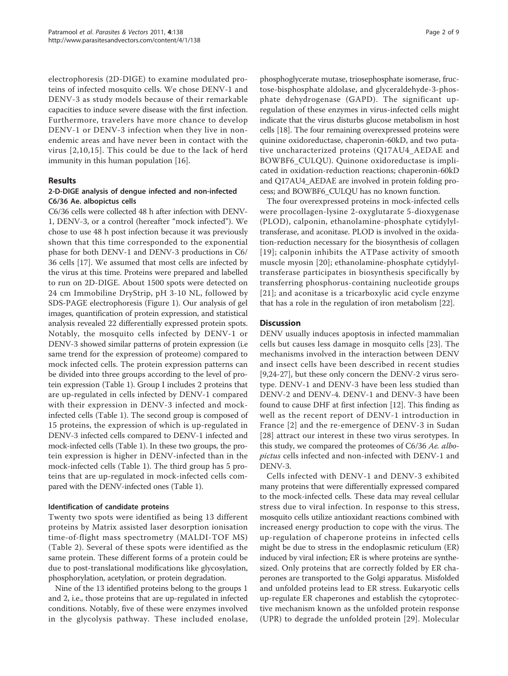electrophoresis (2D-DIGE) to examine modulated proteins of infected mosquito cells. We chose DENV-1 and DENV-3 as study models because of their remarkable capacities to induce severe disease with the first infection. Furthermore, travelers have more chance to develop DENV-1 or DENV-3 infection when they live in nonendemic areas and have never been in contact with the virus [[2](#page-8-0),[10](#page-8-0),[15\]](#page-8-0). This could be due to the lack of herd immunity in this human population [\[16\]](#page-9-0).

#### Results

#### 2-D-DIGE analysis of dengue infected and non-infected C6/36 Ae. albopictus cells

C6/36 cells were collected 48 h after infection with DENV-1, DENV-3, or a control (hereafter "mock infected"). We chose to use 48 h post infection because it was previously shown that this time corresponded to the exponential phase for both DENV-1 and DENV-3 productions in C6/ 36 cells [\[17](#page-9-0)]. We assumed that most cells are infected by the virus at this time. Proteins were prepared and labelled to run on 2D-DIGE. About 1500 spots were detected on 24 cm Immobiline DryStrip, pH 3-10 NL, followed by SDS-PAGE electrophoresis (Figure [1](#page-3-0)). Our analysis of gel images, quantification of protein expression, and statistical analysis revealed 22 differentially expressed protein spots. Notably, the mosquito cells infected by DENV-1 or DENV-3 showed similar patterns of protein expression (i.e same trend for the expression of proteome) compared to mock infected cells. The protein expression patterns can be divided into three groups according to the level of protein expression (Table [1](#page-4-0)). Group I includes 2 proteins that are up-regulated in cells infected by DENV-1 compared with their expression in DENV-3 infected and mockinfected cells (Table [1](#page-4-0)). The second group is composed of 15 proteins, the expression of which is up-regulated in DENV-3 infected cells compared to DENV-1 infected and mock-infected cells (Table [1\)](#page-4-0). In these two groups, the protein expression is higher in DENV-infected than in the mock-infected cells (Table [1](#page-4-0)). The third group has 5 proteins that are up-regulated in mock-infected cells compared with the DENV-infected ones (Table [1](#page-4-0)).

#### Identification of candidate proteins

Twenty two spots were identified as being 13 different proteins by Matrix assisted laser desorption ionisation time-of-flight mass spectrometry (MALDI-TOF MS) (Table [2\)](#page-5-0). Several of these spots were identified as the same protein. These different forms of a protein could be due to post-translational modifications like glycosylation, phosphorylation, acetylation, or protein degradation.

Nine of the 13 identified proteins belong to the groups 1 and 2, i.e., those proteins that are up-regulated in infected conditions. Notably, five of these were enzymes involved in the glycolysis pathway. These included enolase,

phosphoglycerate mutase, triosephosphate isomerase, fructose-bisphosphate aldolase, and glyceraldehyde-3-phosphate dehydrogenase (GAPD). The significant upregulation of these enzymes in virus-infected cells might indicate that the virus disturbs glucose metabolism in host cells [[18](#page-9-0)]. The four remaining overexpressed proteins were quinine oxidoreductase, chaperonin-60kD, and two putative uncharacterized proteins (Q17AU4\_AEDAE and BOWBF6\_CULQU). Quinone oxidoreductase is implicated in oxidation-reduction reactions; chaperonin-60kD and Q17AU4\_AEDAE are involved in protein folding process; and BOWBF6\_CULQU has no known function.

The four overexpressed proteins in mock-infected cells were procollagen-lysine 2-oxyglutarate 5-dioxygenase (PLOD), calponin, ethanolamine-phosphate cytidylyltransferase, and aconitase. PLOD is involved in the oxidation-reduction necessary for the biosynthesis of collagen [[19\]](#page-9-0); calponin inhibits the ATPase activity of smooth muscle myosin [[20](#page-9-0)]; ethanolamine-phosphate cytidylyltransferase participates in biosynthesis specifically by transferring phosphorus-containing nucleotide groups [[21](#page-9-0)]; and aconitase is a tricarboxylic acid cycle enzyme that has a role in the regulation of iron metabolism [\[22\]](#page-9-0).

#### **Discussion**

DENV usually induces apoptosis in infected mammalian cells but causes less damage in mosquito cells [[23\]](#page-9-0). The mechanisms involved in the interaction between DENV and insect cells have been described in recent studies [[9,](#page-8-0)[24-27\]](#page-9-0), but these only concern the DENV-2 virus serotype. DENV-1 and DENV-3 have been less studied than DENV-2 and DENV-4. DENV-1 and DENV-3 have been found to cause DHF at first infection [\[12](#page-8-0)]. This finding as well as the recent report of DENV-1 introduction in France [[2](#page-8-0)] and the re-emergence of DENV-3 in Sudan [[28](#page-9-0)] attract our interest in these two virus serotypes. In this study, we compared the proteomes of C6/36 Ae. albopictus cells infected and non-infected with DENV-1 and DENV-3.

Cells infected with DENV-1 and DENV-3 exhibited many proteins that were differentially expressed compared to the mock-infected cells. These data may reveal cellular stress due to viral infection. In response to this stress, mosquito cells utilize antioxidant reactions combined with increased energy production to cope with the virus. The up-regulation of chaperone proteins in infected cells might be due to stress in the endoplasmic reticulum (ER) induced by viral infection; ER is where proteins are synthesized. Only proteins that are correctly folded by ER chaperones are transported to the Golgi apparatus. Misfolded and unfolded proteins lead to ER stress. Eukaryotic cells up-regulate ER chaperones and establish the cytoprotective mechanism known as the unfolded protein response (UPR) to degrade the unfolded protein [[29\]](#page-9-0). Molecular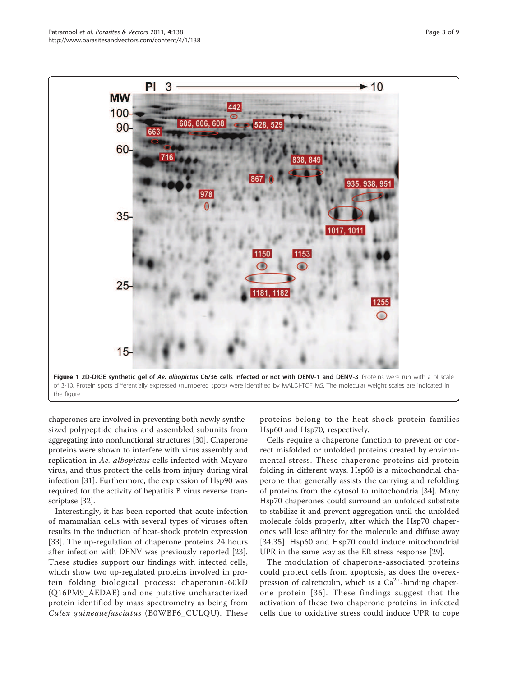chaperones are involved in preventing both newly synthesized polypeptide chains and assembled subunits from aggregating into nonfunctional structures [\[30\]](#page-9-0). Chaperone proteins were shown to interfere with virus assembly and replication in Ae. albopictus cells infected with Mayaro virus, and thus protect the cells from injury during viral infection [[31](#page-9-0)]. Furthermore, the expression of Hsp90 was required for the activity of hepatitis B virus reverse transcriptase [[32](#page-9-0)].

Interestingly, it has been reported that acute infection of mammalian cells with several types of viruses often results in the induction of heat-shock protein expression [[33\]](#page-9-0). The up-regulation of chaperone proteins 24 hours after infection with DENV was previously reported [\[23](#page-9-0)]. These studies support our findings with infected cells, which show two up-regulated proteins involved in protein folding biological process: chaperonin-60kD (Q16PM9\_AEDAE) and one putative uncharacterized protein identified by mass spectrometry as being from Culex quinequefasciatus (B0WBF6\_CULQU). These

proteins belong to the heat-shock protein families Hsp60 and Hsp70, respectively.

Cells require a chaperone function to prevent or correct misfolded or unfolded proteins created by environmental stress. These chaperone proteins aid protein folding in different ways. Hsp60 is a mitochondrial chaperone that generally assists the carrying and refolding of proteins from the cytosol to mitochondria [[34\]](#page-9-0). Many Hsp70 chaperones could surround an unfolded substrate to stabilize it and prevent aggregation until the unfolded molecule folds properly, after which the Hsp70 chaperones will lose affinity for the molecule and diffuse away [[34](#page-9-0),[35\]](#page-9-0). Hsp60 and Hsp70 could induce mitochondrial UPR in the same way as the ER stress response [\[29](#page-9-0)].

The modulation of chaperone-associated proteins could protect cells from apoptosis, as does the overexpression of calreticulin, which is a  $Ca<sup>2+</sup>$ -binding chaperone protein [[36\]](#page-9-0). These findings suggest that the activation of these two chaperone proteins in infected cells due to oxidative stress could induce UPR to cope

<span id="page-3-0"></span>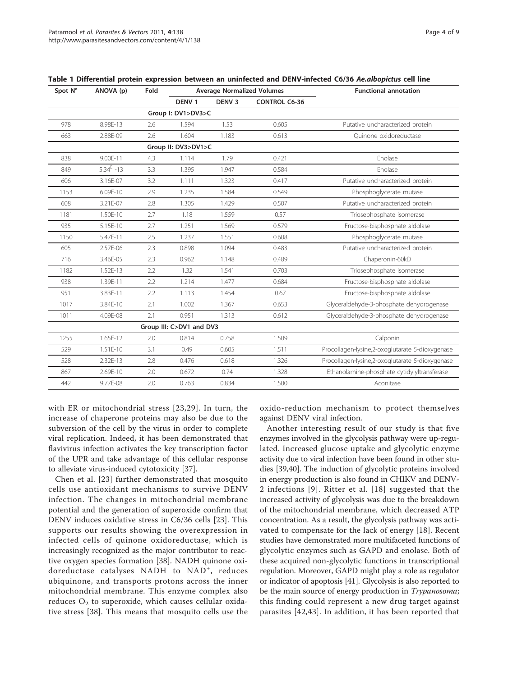| Spot N° | ANOVA (p)       | Fold | <b>Average Normalized Volumes</b> |                   |                      | <b>Functional annotation</b>                    |
|---------|-----------------|------|-----------------------------------|-------------------|----------------------|-------------------------------------------------|
|         |                 |      | DENV <sub>1</sub>                 | DENV <sub>3</sub> | <b>CONTROL C6-36</b> |                                                 |
|         |                 |      | Group I: DV1>DV3>C                |                   |                      |                                                 |
| 978     | 8.98E-13        | 2.6  | 1.594                             | 1.53              | 0.605                | Putative uncharacterized protein                |
| 663     | 2.88E-09        | 2.6  | 1.604                             | 1.183             | 0.613                | Ouinone oxidoreductase                          |
|         |                 |      | Group II: DV3>DV1>C               |                   |                      |                                                 |
| 838     | 9.00E-11        | 4.3  | 1.114                             | 1.79              | 0.421                | Enolase                                         |
| 849     | $5.34^{E} - 13$ | 3.3  | 1.395                             | 1.947             | 0.584                | Enolase                                         |
| 606     | 3.16E-07        | 3.2  | 1.111                             | 1.323             | 0.417                | Putative uncharacterized protein                |
| 1153    | 6.09E-10        | 2.9  | 1.235                             | 1.584             | 0.549                | Phosphoglycerate mutase                         |
| 608     | 3.21E-07        | 2.8  | 1.305                             | 1.429             | 0.507                | Putative uncharacterized protein                |
| 1181    | 1.50E-10        | 2.7  | 1.18                              | 1.559             | 0.57                 | Triosephosphate isomerase                       |
| 935     | 5.15E-10        | 2.7  | 1.251                             | 1.569             | 0.579                | Fructose-bisphosphate aldolase                  |
| 1150    | 5.47E-11        | 2.5  | 1.237                             | 1.551             | 0.608                | Phosphoglycerate mutase                         |
| 605     | 2.57E-06        | 2.3  | 0.898                             | 1.094             | 0.483                | Putative uncharacterized protein                |
| 716     | 3.46E-05        | 2.3  | 0.962                             | 1.148             | 0.489                | Chaperonin-60kD                                 |
| 1182    | 1.52E-13        | 2.2  | 1.32                              | 1.541             | 0.703                | Triosephosphate isomerase                       |
| 938     | 1.39E-11        | 2.2  | 1.214                             | 1.477             | 0.684                | Fructose-bisphosphate aldolase                  |
| 951     | 3.83E-11        | 2.2  | 1.113                             | 1.454             | 0.67                 | Fructose-bisphosphate aldolase                  |
| 1017    | 3.84E-10        | 2.1  | 1.002                             | 1.367             | 0.653                | Glyceraldehyde-3-phosphate dehydrogenase        |
| 1011    | 4.09E-08        | 2.1  | 0.951                             | 1.313             | 0.612                | Glyceraldehyde-3-phosphate dehydrogenase        |
|         |                 |      | Group III: C>DV1 and DV3          |                   |                      |                                                 |
| 1255    | 1.65E-12        | 2.0  | 0.814                             | 0.758             | 1.509                | Calponin                                        |
| 529     | 1.51E-10        | 3.1  | 0.49                              | 0.605             | 1.511                | Procollagen-lysine,2-oxoglutarate 5-dioxygenase |
| 528     | 2.32E-13        | 2.8  | 0.476                             | 0.618             | 1.326                | Procollagen-lysine,2-oxoglutarate 5-dioxygenase |
| 867     | 2.69E-10        | 2.0  | 0.672                             | 0.74              | 1.328                | Ethanolamine-phosphate cytidylyltransferase     |
| 442     | 9.77E-08        | 2.0  | 0.763                             | 0.834             | 1.500                | Aconitase                                       |

<span id="page-4-0"></span>

|  |  |  |  |  | Table 1 Differential protein expression between an uninfected and DENV-infected C6/36 Ae.albopictus cell line |  |  |  |  |  |  |
|--|--|--|--|--|---------------------------------------------------------------------------------------------------------------|--|--|--|--|--|--|
|--|--|--|--|--|---------------------------------------------------------------------------------------------------------------|--|--|--|--|--|--|

with ER or mitochondrial stress [[23](#page-9-0),[29](#page-9-0)]. In turn, the increase of chaperone proteins may also be due to the subversion of the cell by the virus in order to complete viral replication. Indeed, it has been demonstrated that flavivirus infection activates the key transcription factor of the UPR and take advantage of this cellular response to alleviate virus-induced cytotoxicity [\[37](#page-9-0)].

Chen et al. [[23\]](#page-9-0) further demonstrated that mosquito cells use antioxidant mechanisms to survive DENV infection. The changes in mitochondrial membrane potential and the generation of superoxide confirm that DENV induces oxidative stress in C6/36 cells [\[23](#page-9-0)]. This supports our results showing the overexpression in infected cells of quinone oxidoreductase, which is increasingly recognized as the major contributor to reactive oxygen species formation [\[38](#page-9-0)]. NADH quinone oxidoreductase catalyses NADH to NAD<sup>+</sup>, reduces ubiquinone, and transports protons across the inner mitochondrial membrane. This enzyme complex also reduces  $\mathrm{O}_2$  to superoxide, which causes cellular oxidative stress [[38](#page-9-0)]. This means that mosquito cells use the

oxido-reduction mechanism to protect themselves against DENV viral infection.

Another interesting result of our study is that five enzymes involved in the glycolysis pathway were up-regulated. Increased glucose uptake and glycolytic enzyme activity due to viral infection have been found in other studies [[39,40](#page-9-0)]. The induction of glycolytic proteins involved in energy production is also found in CHIKV and DENV-2 infections [[9\]](#page-8-0). Ritter et al. [[18](#page-9-0)] suggested that the increased activity of glycolysis was due to the breakdown of the mitochondrial membrane, which decreased ATP concentration. As a result, the glycolysis pathway was activated to compensate for the lack of energy [\[18](#page-9-0)]. Recent studies have demonstrated more multifaceted functions of glycolytic enzymes such as GAPD and enolase. Both of these acquired non-glycolytic functions in transcriptional regulation. Moreover, GAPD might play a role as regulator or indicator of apoptosis [\[41](#page-9-0)]. Glycolysis is also reported to be the main source of energy production in *Trypanosoma*; this finding could represent a new drug target against parasites [\[42,43](#page-9-0)]. In addition, it has been reported that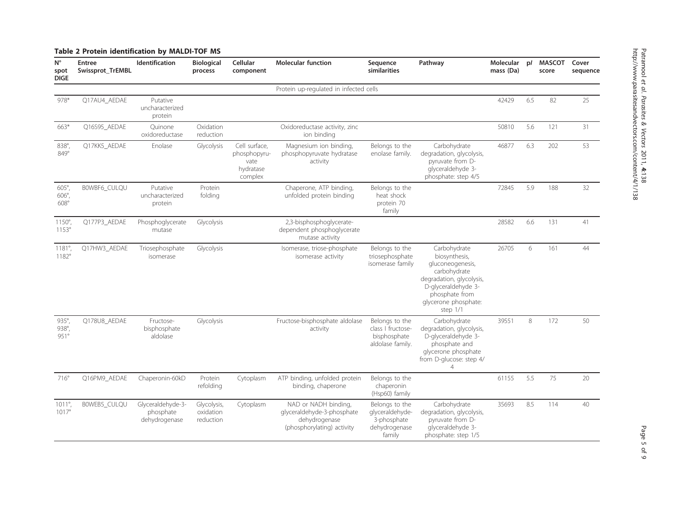<span id="page-5-0"></span>

|                                                 | Table 2 Protein identification by MALDI-TOF MS |                                                 |                                       |                                                               |                                                                                                   |                                                                             |                                                                                                                                                                              |                        |     |                        |                   |
|-------------------------------------------------|------------------------------------------------|-------------------------------------------------|---------------------------------------|---------------------------------------------------------------|---------------------------------------------------------------------------------------------------|-----------------------------------------------------------------------------|------------------------------------------------------------------------------------------------------------------------------------------------------------------------------|------------------------|-----|------------------------|-------------------|
| $N^{\circ}$<br>spot<br><b>DIGE</b>              | <b>Entree</b><br><b>Swissprot TrEMBL</b>       | Identification                                  | <b>Biological</b><br>process          | Cellular<br>component                                         | <b>Molecular function</b>                                                                         | Sequence<br>similarities                                                    | Pathway                                                                                                                                                                      | Molecular<br>mass (Da) | p   | <b>MASCOT</b><br>score | Cover<br>sequence |
|                                                 |                                                |                                                 |                                       |                                                               | Protein up-regulated in infected cells                                                            |                                                                             |                                                                                                                                                                              |                        |     |                        |                   |
| 978*                                            | Q17AU4_AEDAE                                   | Putative<br>uncharacterized<br>protein          |                                       |                                                               |                                                                                                   |                                                                             |                                                                                                                                                                              | 42429                  | 6.5 | 82                     | 25                |
| 663*                                            | Q16S95_AEDAE                                   | Quinone<br>oxidoreductase                       | Oxidation<br>reduction                |                                                               | Oxidoreductase activity, zinc<br>ion binding                                                      |                                                                             |                                                                                                                                                                              | 50810                  | 5.6 | 121                    | 31                |
| 838°,<br>849°                                   | Q17KK5_AEDAE                                   | Enolase                                         | Glycolysis                            | Cell surface,<br>phosphopyru-<br>vate<br>hydratase<br>complex | Magnesium ion binding,<br>phosphopyruvate hydratase<br>activity                                   | Belongs to the<br>enolase family.                                           | Carbohydrate<br>degradation, glycolysis,<br>pyruvate from D-<br>glyceraldehyde 3-<br>phosphate: step 4/5                                                                     | 46877                  | 6.3 | 202                    | 53                |
| $605^\circ$<br>$606^\circ$<br>$608^\circ$       | BOWBF6 CULQU                                   | Putative<br>uncharacterized<br>protein          | Protein<br>folding                    |                                                               | Chaperone, ATP binding,<br>unfolded protein binding                                               | Belongs to the<br>heat shock<br>protein 70<br>family                        |                                                                                                                                                                              | 72845                  | 5.9 | 188                    | 32                |
| $1150^{\circ}$ ,<br>$1153^\circ$                | Q177P3_AEDAE                                   | Phosphoglycerate<br>mutase                      | Glycolysis                            |                                                               | 2,3-bisphosphoglycerate-<br>dependent phosphoglycerate<br>mutase activity                         |                                                                             |                                                                                                                                                                              | 28582                  | 6.6 | 131                    | 41                |
| $1181^{\circ}$ ,<br>1182°                       | Q17HW3_AEDAE                                   | Triosephosphate<br>isomerase                    | Glycolysis                            |                                                               | Isomerase, triose-phosphate<br>isomerase activity                                                 | Belongs to the<br>triosephosphate<br>isomerase family                       | Carbohydrate<br>biosynthesis,<br>gluconeogenesis,<br>carbohydrate<br>degradation, glycolysis,<br>D-glyceraldehyde 3-<br>phosphate from<br>glycerone phosphate:<br>step $1/1$ | 26705                  | 6   | 161                    | 44                |
| $935^\circ$ ,<br>$938^{\circ}$ ,<br>$951^\circ$ | Q178U8_AEDAE                                   | Fructose-<br>bisphosphate<br>aldolase           | Glycolysis                            |                                                               | Fructose-bisphosphate aldolase<br>activity                                                        | Belongs to the<br>class I fructose-<br>bisphosphate<br>aldolase family.     | Carbohydrate<br>degradation, glycolysis,<br>D-glyceraldehyde 3-<br>phosphate and<br>glycerone phosphate<br>from D-glucose: step 4/<br>$\overline{4}$                         | 39551                  | 8   | 172                    | 50                |
| $716^\circ$                                     | Q16PM9_AEDAE                                   | Chaperonin-60kD                                 | Protein<br>refolding                  | Cytoplasm                                                     | ATP binding, unfolded protein<br>binding, chaperone                                               | Belongs to the<br>chaperonin<br>(Hsp60) family                              |                                                                                                                                                                              | 61155                  | 5.5 | 75                     | 20                |
| $1011^{\circ}$ ,<br>$1017^{\circ}$              | BOWEB5_CULQU                                   | Glyceraldehyde-3-<br>phosphate<br>dehydrogenase | Glycolysis,<br>oxidation<br>reduction | Cytoplasm                                                     | NAD or NADH binding,<br>glyceraldehyde-3-phosphate<br>dehydrogenase<br>(phosphorylating) activity | Belongs to the<br>glyceraldehyde-<br>3-phosphate<br>dehydrogenase<br>family | Carbohydrate<br>degradation, glycolysis,<br>pyruvate from D-<br>glyceraldehyde 3-<br>phosphate: step 1/5                                                                     | 35693                  | 8.5 | 114                    | 40                |

Patramool

et al.

Parasites & Vectors

http://www.parasitesandvectors.com/content/4/1/138

2011, 4:138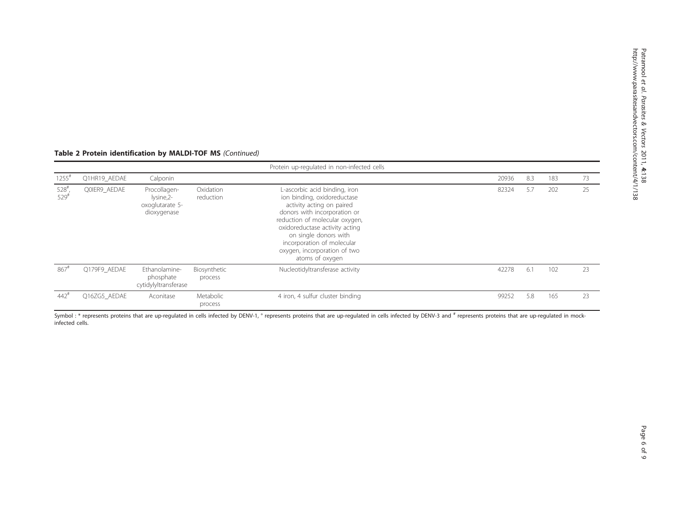### Table 2 Protein identification by MALDI-TOF MS (Continued)

|                                          |              |                                                              |                         | Protein up-regulated in non-infected cells                                                                                                                                                                                                                                                              |       |     |     |    |
|------------------------------------------|--------------|--------------------------------------------------------------|-------------------------|---------------------------------------------------------------------------------------------------------------------------------------------------------------------------------------------------------------------------------------------------------------------------------------------------------|-------|-----|-----|----|
| $1255$ <sup>#</sup>                      | Q1HR19 AEDAE | Calponin                                                     |                         |                                                                                                                                                                                                                                                                                                         | 20936 | 8.3 | 183 | 73 |
| $528$ <sup>#</sup><br>$529$ <sup>#</sup> | QOIER9 AEDAE | Procollagen-<br>lysine, 2-<br>oxoglutarate 5-<br>dioxygenase | Oxidation<br>reduction  | L-ascorbic acid binding, iron<br>ion binding, oxidoreductase<br>activity acting on paired<br>donors with incorporation or<br>reduction of molecular oxygen,<br>oxidoreductase activity acting<br>on single donors with<br>incorporation of molecular<br>oxygen, incorporation of two<br>atoms of oxygen | 82324 | 5.7 | 202 | 25 |
| $867$ <sup>#</sup>                       | Q179F9 AEDAE | Ethanolamine-<br>phosphate<br>cytidylyltransferase           | Biosynthetic<br>process | Nucleotidyltransferase activity                                                                                                                                                                                                                                                                         | 42278 | 6.1 | 102 | 23 |
| $442$ <sup>#</sup>                       | Q16ZG5 AEDAE | Aconitase                                                    | Metabolic<br>process    | 4 iron, 4 sulfur cluster binding                                                                                                                                                                                                                                                                        | 99252 | 5.8 | 165 | 23 |

Symbol : \* represents proteins that are up-regulated in cells infected by DENV-1, ° represents proteins that are up-regulated in cells infected by DENV-3 and # represents proteins that are up-regulated in mockinfected cells.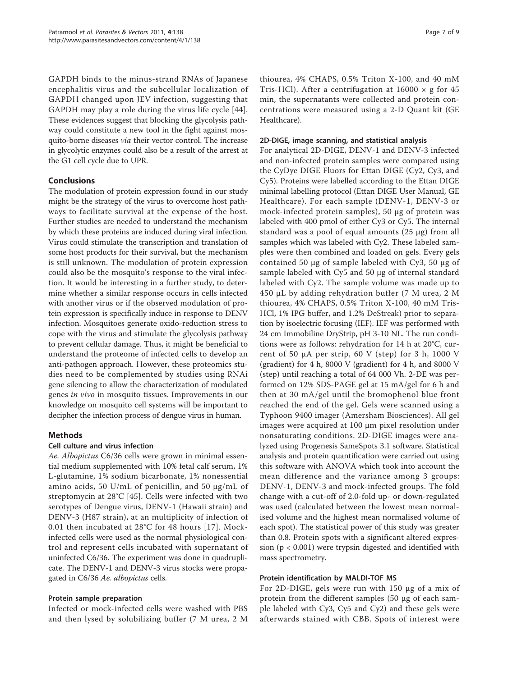GAPDH binds to the minus-strand RNAs of Japanese encephalitis virus and the subcellular localization of GAPDH changed upon JEV infection, suggesting that GAPDH may play a role during the virus life cycle [[44](#page-9-0)]. These evidences suggest that blocking the glycolysis pathway could constitute a new tool in the fight against mosquito-borne diseases via their vector control. The increase in glycolytic enzymes could also be a result of the arrest at the G1 cell cycle due to UPR.

#### Conclusions

The modulation of protein expression found in our study might be the strategy of the virus to overcome host pathways to facilitate survival at the expense of the host. Further studies are needed to understand the mechanism by which these proteins are induced during viral infection. Virus could stimulate the transcription and translation of some host products for their survival, but the mechanism is still unknown. The modulation of protein expression could also be the mosquito's response to the viral infection. It would be interesting in a further study, to determine whether a similar response occurs in cells infected with another virus or if the observed modulation of protein expression is specifically induce in response to DENV infection. Mosquitoes generate oxido-reduction stress to cope with the virus and stimulate the glycolysis pathway to prevent cellular damage. Thus, it might be beneficial to understand the proteome of infected cells to develop an anti-pathogen approach. However, these proteomics studies need to be complemented by studies using RNAi gene silencing to allow the characterization of modulated genes in vivo in mosquito tissues. Improvements in our knowledge on mosquito cell systems will be important to decipher the infection process of dengue virus in human.

#### Methods

#### Cell culture and virus infection

Ae. Albopictus C6/36 cells were grown in minimal essential medium supplemented with 10% fetal calf serum, 1% L-glutamine, 1% sodium bicarbonate, 1% nonessential amino acids, 50 U/mL of penicillin, and 50 μg/mL of streptomycin at 28°C [[45\]](#page-9-0). Cells were infected with two serotypes of Dengue virus, DENV-1 (Hawaii strain) and DENV-3 (H87 strain), at an multiplicity of infection of 0.01 then incubated at 28°C for 48 hours [[17](#page-9-0)]. Mockinfected cells were used as the normal physiological control and represent cells incubated with supernatant of uninfected C6/36. The experiment was done in quadruplicate. The DENV-1 and DENV-3 virus stocks were propagated in C6/36 Ae. albopictus cells.

#### Protein sample preparation

Infected or mock-infected cells were washed with PBS and then lysed by solubilizing buffer (7 M urea, 2 M

thiourea, 4% CHAPS, 0.5% Triton X-100, and 40 mM Tris-HCl). After a centrifugation at  $16000 \times g$  for  $45$ min, the supernatants were collected and protein concentrations were measured using a 2-D Quant kit (GE Healthcare).

#### 2D-DIGE, image scanning, and statistical analysis

For analytical 2D-DIGE, DENV-1 and DENV-3 infected and non-infected protein samples were compared using the CyDye DIGE Fluors for Ettan DIGE (Cy2, Cy3, and Cy5). Proteins were labelled according to the Ettan DIGE minimal labelling protocol (Ettan DIGE User Manual, GE Healthcare). For each sample (DENV-1, DENV-3 or mock-infected protein samples), 50 μg of protein was labeled with 400 pmol of either Cy3 or Cy5. The internal standard was a pool of equal amounts (25 μg) from all samples which was labeled with Cy2. These labeled samples were then combined and loaded on gels. Every gels contained 50 μg of sample labeled with Cy3, 50 μg of sample labeled with Cy5 and 50 μg of internal standard labeled with Cy2. The sample volume was made up to 450 μL by adding rehydration buffer (7 M urea, 2 M thiourea, 4% CHAPS, 0.5% Triton X-100, 40 mM Tris-HCl, 1% IPG buffer, and 1.2% DeStreak) prior to separation by isoelectric focusing (IEF). IEF was performed with 24 cm Immobiline DryStrip, pH 3-10 NL. The run conditions were as follows: rehydration for 14 h at 20°C, current of 50 μA per strip, 60 V (step) for 3 h, 1000 V (gradient) for 4 h, 8000 V (gradient) for 4 h, and 8000 V (step) until reaching a total of 64 000 Vh. 2-DE was performed on 12% SDS-PAGE gel at 15 mA/gel for 6 h and then at 30 mA/gel until the bromophenol blue front reached the end of the gel. Gels were scanned using a Typhoon 9400 imager (Amersham Biosciences). All gel images were acquired at 100 μm pixel resolution under nonsaturating conditions. 2D-DIGE images were analyzed using Progenesis SameSpots 3.1 software. Statistical analysis and protein quantification were carried out using this software with ANOVA which took into account the mean difference and the variance among 3 groups: DENV-1, DENV-3 and mock-infected groups. The fold change with a cut-off of 2.0-fold up- or down-regulated was used (calculated between the lowest mean normalised volume and the highest mean normalised volume of each spot). The statistical power of this study was greater than 0.8. Protein spots with a significant altered expression (p < 0.001) were trypsin digested and identified with mass spectrometry.

#### Protein identification by MALDI-TOF MS

For 2D-DIGE, gels were run with 150 μg of a mix of protein from the different samples (50 μg of each sample labeled with Cy3, Cy5 and Cy2) and these gels were afterwards stained with CBB. Spots of interest were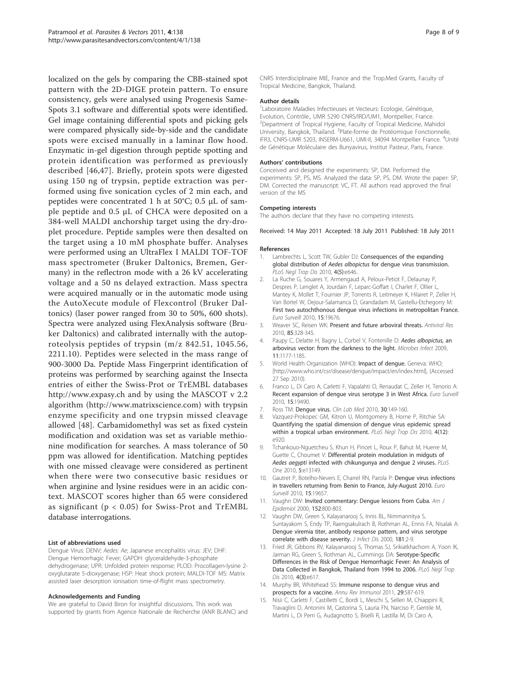<span id="page-8-0"></span>localized on the gels by comparing the CBB-stained spot pattern with the 2D-DIGE protein pattern. To ensure consistency, gels were analysed using Progenesis Same-Spots 3.1 software and differential spots were identified. Gel image containing differential spots and picking gels were compared physically side-by-side and the candidate spots were excised manually in a laminar flow hood. Enzymatic in-gel digestion through peptide spotting and protein identification was performed as previously described [[46,47\]](#page-9-0). Briefly, protein spots were digested using 150 ng of trypsin, peptide extraction was performed using five sonication cycles of 2 min each, and peptides were concentrated 1 h at 50°C; 0.5 μL of sample peptide and 0.5 μL of CHCA were deposited on a 384-well MALDI anchorship target using the dry-droplet procedure. Peptide samples were then desalted on the target using a 10 mM phosphate buffer. Analyses were performed using an UltraFlex I MALDI TOF-TOF mass spectrometer (Bruker Daltonics, Bremen, Germany) in the reflectron mode with a 26 kV accelerating voltage and a 50 ns delayed extraction. Mass spectra were acquired manually or in the automatic mode using the AutoXecute module of Flexcontrol (Bruker Daltonics) (laser power ranged from 30 to 50%, 600 shots). Spectra were analyzed using FlexAnalysis software (Bruker Daltonics) and calibrated internally with the autoproteolysis peptides of trypsin (m/z 842.51, 1045.56, 2211.10). Peptides were selected in the mass range of 900-3000 Da. Peptide Mass Fingerprint identification of proteins was performed by searching against the Insecta entries of either the Swiss-Prot or TrEMBL databases <http://www.expasy.ch> and by using the MASCOT v 2.2 algorithm [\(http://www.matrixscience.com\)](http://www.matrixscience.com) with trypsin enzyme specificity and one trypsin missed cleavage allowed [\[48](#page-9-0)]. Carbamidomethyl was set as fixed cystein modification and oxidation was set as variable methionine modification for searches. A mass tolerance of 50 ppm was allowed for identification. Matching peptides with one missed cleavage were considered as pertinent when there were two consecutive basic residues or when arginine and lysine residues were in an acidic context. MASCOT scores higher than 65 were considered as significant ( $p < 0.05$ ) for Swiss-Prot and TrEMBL database interrogations.

#### List of abbreviations used

Dengue Virus: DENV; Aedes: Ae; Japanese encephalitis virus: JEV; DHF: Dengue Hemorrhagic Fever; GAPDH: glyceraldehyde-3-phosphate dehydrogenase; UPR: Unfolded protein response; PLOD: Procollagen-lysine 2 oxyglutarate 5-dioxygenase; HSP: Heat shock protein; MALDI-TOF MS: Matrix assisted laser desorption ionisation time-of-flight mass spectrometry.

#### Acknowledgements and Funding

We are grateful to David Biron for insightful discussions. This work was supported by grants from Agence Nationale de Recherche (ANR BLANC) and CNRS Interdisciplinaire MIE, France and the Trop.Med Grants, Faculty of Tropical Medicine, Bangkok, Thailand.

#### Author details

<sup>1</sup> Laboratoire Maladies Infectieuses et Vecteurs: Ecologie, Génétique, Evolution, Contrôle., UMR 5290 CNRS/IRD/UM1, Montpellier, France. <sup>2</sup>Department of Tropical Hygiene, Faculty of Tropical Medicine, Mahidol University, Bangkok, Thailand. <sup>3</sup>Plate-forme de Protéomique Fonctionnelle, IFR3, CNRS-UMR 5203, INSERM-U661, UMI-II, 34094 Montpellier France. <sup>4</sup>Unité de Génétique Moléculaire des Bunyavirus, Institut Pasteur, Paris, France.

#### Authors' contributions

Conceived and designed the experiments: SP, DM. Performed the experiments: SP, PS, MS. Analyzed the data: SP, PS, DM. Wrote the paper: SP, DM. Corrected the manuscript: VC, FT. All authors read approved the final version of the MS

#### Competing interests

The authors declare that they have no competing interests.

Received: 14 May 2011 Accepted: 18 July 2011 Published: 18 July 2011

#### References

- 1. Lambrechts L, Scott TW, Gubler DJ: [Consequences of the expanding](http://www.ncbi.nlm.nih.gov/pubmed/20520794?dopt=Abstract) global distribution of Aedes albopictus [for dengue virus transmission.](http://www.ncbi.nlm.nih.gov/pubmed/20520794?dopt=Abstract) PLoS Negl Trop Dis 2010, 4(5):e646..
- 2. La Ruche G, Souares Y, Armengaud A, Peloux-Petiot F, Delaunay P, Despres P, Lenglet A, Jourdain F, Leparc-Goffart I, Charlet F, Ollier L, Mantey K, Mollet T, Fournier JP, Torrents R, Leitmeyer K, Hilairet P, Zeller H, Van Bortel W, Dejour-Salamanca D, Grandadam M, Gastellu-Etchegorry M: [First two autochthonous dengue virus infections in metropolitan France.](http://www.ncbi.nlm.nih.gov/pubmed/20929659?dopt=Abstract) Euro Surveill 2010, 15:19676.
- 3. Weaver SC, Reisen WK: [Present and future arboviral threats.](http://www.ncbi.nlm.nih.gov/pubmed/19857523?dopt=Abstract) Antiviral Res 2010, 85:328-345.
- Paupy C, Delatte H, Bagny L, Corbel V, Fontenille D: [Aedes albopictus](http://www.ncbi.nlm.nih.gov/pubmed/19450706?dopt=Abstract), an [arbovirus vector: from the darkness to the light.](http://www.ncbi.nlm.nih.gov/pubmed/19450706?dopt=Abstract) Microbes Infect 2009, 11:1177-1185.
- 5. World Health Organization (WHO): Impact of dengue. Geneva: WHO; [[http://www.who.int/csr/disease/dengue/impact/en/index.html\]](http://www.who.int/csr/disease/dengue/impact/en/index.html), (Accessed 27 Sep 2010).
- 6. Franco L, Di Caro A, Carletti F, Vapalahti O, Renaudat C, Zeller H, Tenorio A: [Recent expansion of dengue virus serotype 3 in West Africa.](http://www.ncbi.nlm.nih.gov/pubmed/20184854?dopt=Abstract) Euro Surveill 2010, 15:19490.
- 7. Ross TM: [Dengue virus.](http://www.ncbi.nlm.nih.gov/pubmed/20513545?dopt=Abstract) Clin Lab Med 2010, 30:149-160.
- Vazquez-Prokopec GM, Kitron U, Montgomery B, Horne P, Ritchie SA: [Quantifying the spatial dimension of dengue virus epidemic spread](http://www.ncbi.nlm.nih.gov/pubmed/21200419?dopt=Abstract) [within a tropical urban environment.](http://www.ncbi.nlm.nih.gov/pubmed/21200419?dopt=Abstract) PLoS Negl Trop Dis 2010, 4(12): e920.
- 9. Tchankouo-Nguetcheu S, Khun H, Pincet L, Roux P, Bahut M, Huerre M, Guette C, Choumet V: [Differential protein modulation in midguts of](http://www.ncbi.nlm.nih.gov/pubmed/20957153?dopt=Abstract) Aedes aegypti [infected with chikungunya and dengue 2 viruses.](http://www.ncbi.nlm.nih.gov/pubmed/20957153?dopt=Abstract) PLoS One 2010, 5:e13149.
- 10. Gautret P, Botelho-Nevers E, Charrel RN, Parola P: Denque virus infections [in travellers returning from Benin to France, July-August 2010.](http://www.ncbi.nlm.nih.gov/pubmed/20843471?dopt=Abstract) Euro Surveill 2010, 15:19657.
- 11. Vaughn DW: [Invited commentary: Dengue lessons from Cuba.](http://www.ncbi.nlm.nih.gov/pubmed/11085390?dopt=Abstract) Am J Epidemiol 2000, 152:800-803.
- 12. Vaughn DW, Green S, Kalayanarooj S, Innis BL, Nimmannitya S, Suntayakorn S, Endy TP, Raengsakulrach B, Rothman AL, Ennis FA, Nisalak A: [Dengue viremia titer, antibody response pattern, and virus serotype](http://www.ncbi.nlm.nih.gov/pubmed/10608744?dopt=Abstract) [correlate with disease severity.](http://www.ncbi.nlm.nih.gov/pubmed/10608744?dopt=Abstract) J Infect Dis 2000, 181:2-9.
- 13. Fried JR, Gibbons RV, Kalayanarooj S, Thomas SJ, Srikiatkhachorn A, Yoon IK, Jarman RG, Green S, Rothman AL, Cummings DA: [Serotype-Specific](http://www.ncbi.nlm.nih.gov/pubmed/20209155?dopt=Abstract) [Differences in the Risk of Dengue Hemorrhagic Fever: An Analysis of](http://www.ncbi.nlm.nih.gov/pubmed/20209155?dopt=Abstract) [Data Collected in Bangkok, Thailand from 1994 to 2006.](http://www.ncbi.nlm.nih.gov/pubmed/20209155?dopt=Abstract) PLoS Negl Trop Dis 2010, 4(3):e617.
- 14. Murphy BR, Whitehead SS: [Immune response to dengue virus and](http://www.ncbi.nlm.nih.gov/pubmed/21219187?dopt=Abstract) [prospects for a vaccine.](http://www.ncbi.nlm.nih.gov/pubmed/21219187?dopt=Abstract) Annu Rev Immunol 2011, 29:587-619.
- 15. Nisii C, Carletti F, Castilletti C, Bordi L, Meschi S, Selleri M, Chiappini R, Travaglini D, Antonini M, Castorina S, Lauria FN, Narciso P, Gentile M, Martini L, Di Perri G, Audagnotto S, Biselli R, Lastilla M, Di Caro A,